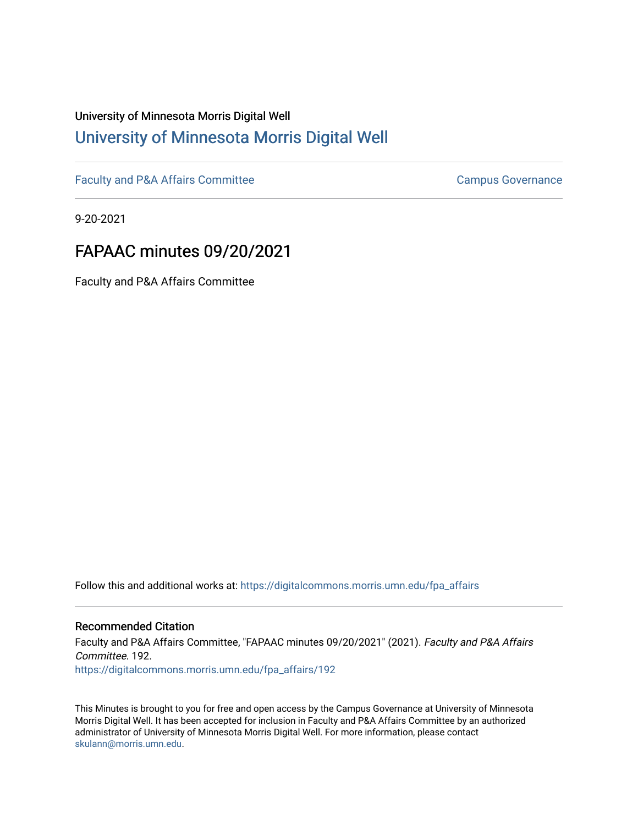# University of Minnesota Morris Digital Well [University of Minnesota Morris Digital Well](https://digitalcommons.morris.umn.edu/)

[Faculty and P&A Affairs Committee](https://digitalcommons.morris.umn.edu/fpa_affairs) [Campus Governance](https://digitalcommons.morris.umn.edu/campgov) Campus Governance

9-20-2021

# FAPAAC minutes 09/20/2021

Faculty and P&A Affairs Committee

Follow this and additional works at: [https://digitalcommons.morris.umn.edu/fpa\\_affairs](https://digitalcommons.morris.umn.edu/fpa_affairs?utm_source=digitalcommons.morris.umn.edu%2Ffpa_affairs%2F192&utm_medium=PDF&utm_campaign=PDFCoverPages)

#### Recommended Citation

Faculty and P&A Affairs Committee, "FAPAAC minutes 09/20/2021" (2021). Faculty and P&A Affairs Committee. 192. [https://digitalcommons.morris.umn.edu/fpa\\_affairs/192](https://digitalcommons.morris.umn.edu/fpa_affairs/192?utm_source=digitalcommons.morris.umn.edu%2Ffpa_affairs%2F192&utm_medium=PDF&utm_campaign=PDFCoverPages)

This Minutes is brought to you for free and open access by the Campus Governance at University of Minnesota Morris Digital Well. It has been accepted for inclusion in Faculty and P&A Affairs Committee by an authorized administrator of University of Minnesota Morris Digital Well. For more information, please contact [skulann@morris.umn.edu.](mailto:skulann@morris.umn.edu)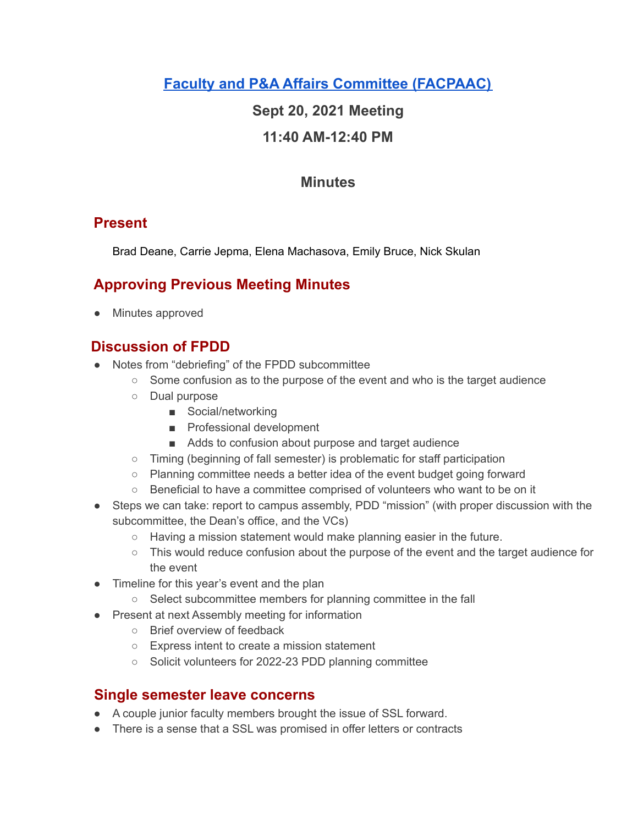**Faculty and P&A Affairs Committee [\(FACPAAC\)](https://committees.morris.umn.edu/faculty-and-pa-affairs-committee)**

# **Sept 20, 2021 Meeting**

# **11:40 AM-12:40 PM**

# **Minutes**

# **Present**

Brad Deane, Carrie Jepma, Elena Machasova, Emily Bruce, Nick Skulan

# **Approving Previous Meeting Minutes**

● Minutes approved

# **Discussion of FPDD**

- Notes from "debriefing" of the FPDD subcommittee
	- $\circ$  Some confusion as to the purpose of the event and who is the target audience
	- Dual purpose
		- Social/networking
		- Professional development
		- Adds to confusion about purpose and target audience
	- Timing (beginning of fall semester) is problematic for staff participation
	- Planning committee needs a better idea of the event budget going forward
	- Beneficial to have a committee comprised of volunteers who want to be on it
- Steps we can take: report to campus assembly, PDD "mission" (with proper discussion with the subcommittee, the Dean's office, and the VCs)
	- Having a mission statement would make planning easier in the future.
	- This would reduce confusion about the purpose of the event and the target audience for the event
- Timeline for this year's event and the plan
	- Select subcommittee members for planning committee in the fall
- Present at next Assembly meeting for information
	- Brief overview of feedback
	- Express intent to create a mission statement
	- Solicit volunteers for 2022-23 PDD planning committee

#### **Single semester leave concerns**

- A couple junior faculty members brought the issue of SSL forward.
- There is a sense that a SSL was promised in offer letters or contracts